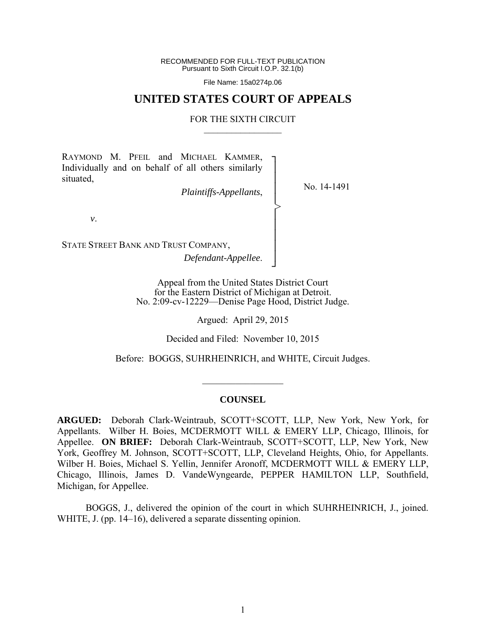RECOMMENDED FOR FULL-TEXT PUBLICATION Pursuant to Sixth Circuit I.O.P. 32.1(b)

File Name: 15a0274p.06

## **UNITED STATES COURT OF APPEALS**

#### FOR THE SIXTH CIRCUIT  $\mathcal{L}_\text{max}$

┐ │ │ │ │ │ │ │ │ │ ┘

>

RAYMOND M. PFEIL and MICHAEL KAMMER, Individually and on behalf of all others similarly situated,

*Plaintiffs-Appellants*,

No. 14-1491

*v*.

STATE STREET BANK AND TRUST COMPANY,

*Defendant-Appellee*.

Appeal from the United States District Court for the Eastern District of Michigan at Detroit. No. 2:09-cv-12229—Denise Page Hood, District Judge.

Argued: April 29, 2015

Decided and Filed: November 10, 2015

Before: BOGGS, SUHRHEINRICH, and WHITE, Circuit Judges.

#### **COUNSEL**

 $\frac{1}{2}$ 

**ARGUED:** Deborah Clark-Weintraub, SCOTT+SCOTT, LLP, New York, New York, for Appellants. Wilber H. Boies, MCDERMOTT WILL & EMERY LLP, Chicago, Illinois, for Appellee. **ON BRIEF:** Deborah Clark-Weintraub, SCOTT+SCOTT, LLP, New York, New York, Geoffrey M. Johnson, SCOTT+SCOTT, LLP, Cleveland Heights, Ohio, for Appellants. Wilber H. Boies, Michael S. Yellin, Jennifer Aronoff, MCDERMOTT WILL & EMERY LLP, Chicago, Illinois, James D. VandeWyngearde, PEPPER HAMILTON LLP, Southfield, Michigan, for Appellee.

 BOGGS, J., delivered the opinion of the court in which SUHRHEINRICH, J., joined. WHITE, J. (pp. 14–16), delivered a separate dissenting opinion.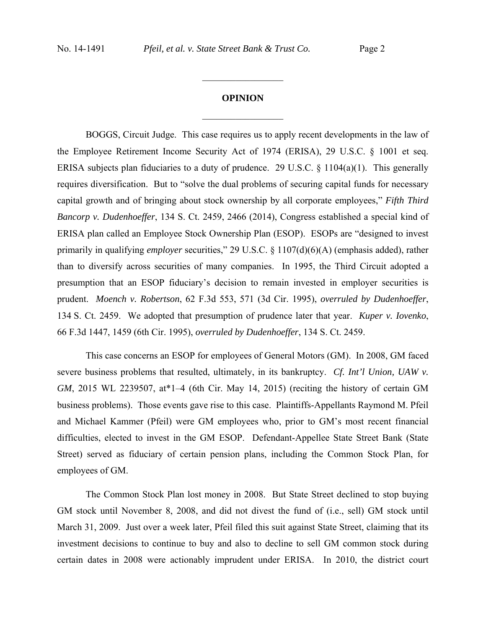# **OPINION**  $\frac{1}{2}$

 $\frac{1}{2}$  ,  $\frac{1}{2}$  ,  $\frac{1}{2}$  ,  $\frac{1}{2}$  ,  $\frac{1}{2}$  ,  $\frac{1}{2}$  ,  $\frac{1}{2}$  ,  $\frac{1}{2}$  ,  $\frac{1}{2}$ 

 BOGGS, Circuit Judge. This case requires us to apply recent developments in the law of the Employee Retirement Income Security Act of 1974 (ERISA), 29 U.S.C. § 1001 et seq. ERISA subjects plan fiduciaries to a duty of prudence. 29 U.S.C. § 1104(a)(1). This generally requires diversification. But to "solve the dual problems of securing capital funds for necessary capital growth and of bringing about stock ownership by all corporate employees," *Fifth Third Bancorp v. Dudenhoeffer*, 134 S. Ct. 2459, 2466 (2014), Congress established a special kind of ERISA plan called an Employee Stock Ownership Plan (ESOP). ESOPs are "designed to invest primarily in qualifying *employer* securities," 29 U.S.C. § 1107(d)(6)(A) (emphasis added), rather than to diversify across securities of many companies. In 1995, the Third Circuit adopted a presumption that an ESOP fiduciary's decision to remain invested in employer securities is prudent. *Moench v. Robertson*, 62 F.3d 553, 571 (3d Cir. 1995), *overruled by Dudenhoeffer*, 134 S. Ct. 2459. We adopted that presumption of prudence later that year. *Kuper v. Iovenko*, 66 F.3d 1447, 1459 (6th Cir. 1995), *overruled by Dudenhoeffer*, 134 S. Ct. 2459.

 This case concerns an ESOP for employees of General Motors (GM). In 2008, GM faced severe business problems that resulted, ultimately, in its bankruptcy. *Cf. Int'l Union, UAW v. GM*, 2015 WL 2239507, at\*1–4 (6th Cir. May 14, 2015) (reciting the history of certain GM business problems). Those events gave rise to this case. Plaintiffs-Appellants Raymond M. Pfeil and Michael Kammer (Pfeil) were GM employees who, prior to GM's most recent financial difficulties, elected to invest in the GM ESOP. Defendant-Appellee State Street Bank (State Street) served as fiduciary of certain pension plans, including the Common Stock Plan, for employees of GM.

 The Common Stock Plan lost money in 2008. But State Street declined to stop buying GM stock until November 8, 2008, and did not divest the fund of (i.e., sell) GM stock until March 31, 2009. Just over a week later, Pfeil filed this suit against State Street, claiming that its investment decisions to continue to buy and also to decline to sell GM common stock during certain dates in 2008 were actionably imprudent under ERISA. In 2010, the district court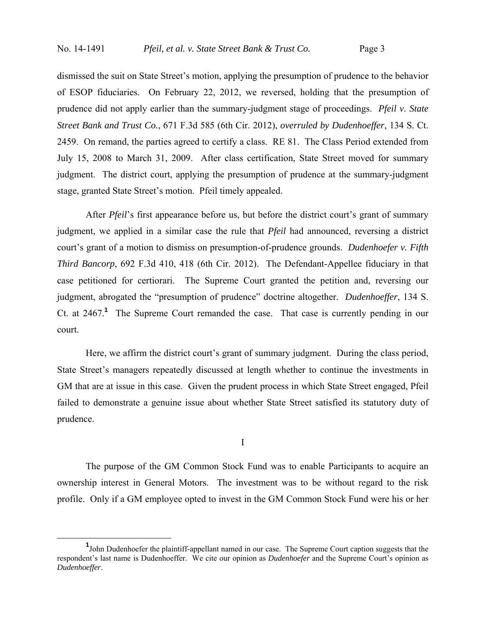dismissed the suit on State Street's motion, applying the presumption of prudence to the behavior of ESOP fiduciaries. On February 22, 2012, we reversed, holding that the presumption of prudence did not apply earlier than the summary-judgment stage of proceedings. *Pfeil v. State Street Bank and Trust Co.*, 671 F.3d 585 (6th Cir. 2012), *overruled by Dudenhoeffer*, 134 S. Ct. 2459. On remand, the parties agreed to certify a class. RE 81. The Class Period extended from July 15, 2008 to March 31, 2009. After class certification, State Street moved for summary judgment. The district court, applying the presumption of prudence at the summary-judgment stage, granted State Street's motion. Pfeil timely appealed.

 After *Pfeil*'s first appearance before us, but before the district court's grant of summary judgment, we applied in a similar case the rule that *Pfeil* had announced, reversing a district court's grant of a motion to dismiss on presumption-of-prudence grounds. *Dudenhoefer v. Fifth Third Bancorp*, 692 F.3d 410, 418 (6th Cir. 2012). The Defendant-Appellee fiduciary in that case petitioned for certiorari. The Supreme Court granted the petition and, reversing our judgment, abrogated the "presumption of prudence" doctrine altogether. *Dudenhoeffer*, 134 S. Ct. at 2467.**<sup>1</sup>** The Supreme Court remanded the case. That case is currently pending in our court.

 Here, we affirm the district court's grant of summary judgment. During the class period, State Street's managers repeatedly discussed at length whether to continue the investments in GM that are at issue in this case. Given the prudent process in which State Street engaged, Pfeil failed to demonstrate a genuine issue about whether State Street satisfied its statutory duty of prudence.

I

 The purpose of the GM Common Stock Fund was to enable Participants to acquire an ownership interest in General Motors. The investment was to be without regard to the risk profile. Only if a GM employee opted to invest in the GM Common Stock Fund were his or her

<sup>&</sup>lt;u>1</u> <sup>1</sup>John Dudenhoefer the plaintiff-appellant named in our case. The Supreme Court caption suggests that the respondent's last name is Dudenhoeffer. We cite our opinion as *Dudenhoefer* and the Supreme Court's opinion as *Dudenhoeffer*.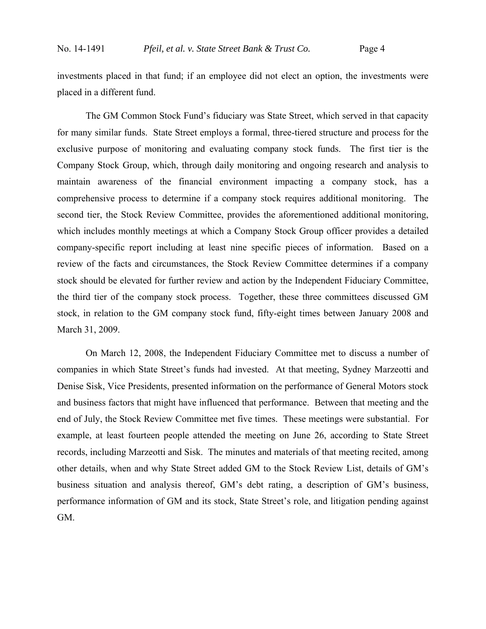investments placed in that fund; if an employee did not elect an option, the investments were placed in a different fund.

 The GM Common Stock Fund's fiduciary was State Street, which served in that capacity for many similar funds. State Street employs a formal, three-tiered structure and process for the exclusive purpose of monitoring and evaluating company stock funds. The first tier is the Company Stock Group, which, through daily monitoring and ongoing research and analysis to maintain awareness of the financial environment impacting a company stock, has a comprehensive process to determine if a company stock requires additional monitoring. The second tier, the Stock Review Committee, provides the aforementioned additional monitoring, which includes monthly meetings at which a Company Stock Group officer provides a detailed company-specific report including at least nine specific pieces of information. Based on a review of the facts and circumstances, the Stock Review Committee determines if a company stock should be elevated for further review and action by the Independent Fiduciary Committee, the third tier of the company stock process. Together, these three committees discussed GM stock, in relation to the GM company stock fund, fifty-eight times between January 2008 and March 31, 2009.

 On March 12, 2008, the Independent Fiduciary Committee met to discuss a number of companies in which State Street's funds had invested. At that meeting, Sydney Marzeotti and Denise Sisk, Vice Presidents, presented information on the performance of General Motors stock and business factors that might have influenced that performance. Between that meeting and the end of July, the Stock Review Committee met five times. These meetings were substantial. For example, at least fourteen people attended the meeting on June 26, according to State Street records, including Marzeotti and Sisk. The minutes and materials of that meeting recited, among other details, when and why State Street added GM to the Stock Review List, details of GM's business situation and analysis thereof, GM's debt rating, a description of GM's business, performance information of GM and its stock, State Street's role, and litigation pending against GM.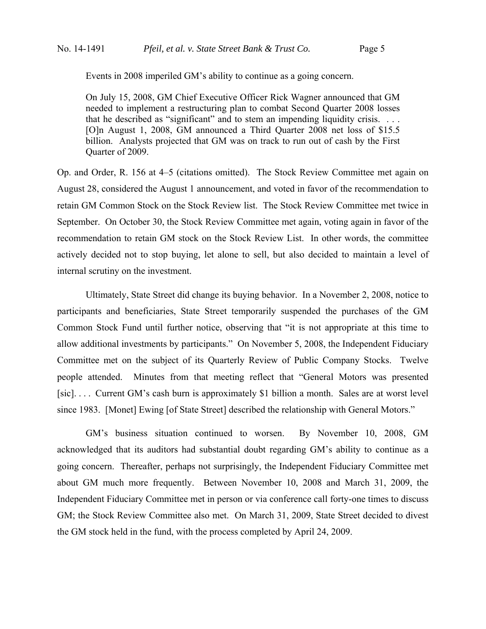Events in 2008 imperiled GM's ability to continue as a going concern.

On July 15, 2008, GM Chief Executive Officer Rick Wagner announced that GM needed to implement a restructuring plan to combat Second Quarter 2008 losses that he described as "significant" and to stem an impending liquidity crisis. . . . [O]n August 1, 2008, GM announced a Third Quarter 2008 net loss of \$15.5 billion. Analysts projected that GM was on track to run out of cash by the First Quarter of 2009.

Op. and Order, R. 156 at 4–5 (citations omitted). The Stock Review Committee met again on August 28, considered the August 1 announcement, and voted in favor of the recommendation to retain GM Common Stock on the Stock Review list. The Stock Review Committee met twice in September. On October 30, the Stock Review Committee met again, voting again in favor of the recommendation to retain GM stock on the Stock Review List. In other words, the committee actively decided not to stop buying, let alone to sell, but also decided to maintain a level of internal scrutiny on the investment.

 Ultimately, State Street did change its buying behavior. In a November 2, 2008, notice to participants and beneficiaries, State Street temporarily suspended the purchases of the GM Common Stock Fund until further notice, observing that "it is not appropriate at this time to allow additional investments by participants." On November 5, 2008, the Independent Fiduciary Committee met on the subject of its Quarterly Review of Public Company Stocks. Twelve people attended. Minutes from that meeting reflect that "General Motors was presented [sic]. . . . Current GM's cash burn is approximately \$1 billion a month. Sales are at worst level since 1983. [Monet] Ewing [of State Street] described the relationship with General Motors."

 GM's business situation continued to worsen. By November 10, 2008, GM acknowledged that its auditors had substantial doubt regarding GM's ability to continue as a going concern. Thereafter, perhaps not surprisingly, the Independent Fiduciary Committee met about GM much more frequently. Between November 10, 2008 and March 31, 2009, the Independent Fiduciary Committee met in person or via conference call forty-one times to discuss GM; the Stock Review Committee also met. On March 31, 2009, State Street decided to divest the GM stock held in the fund, with the process completed by April 24, 2009.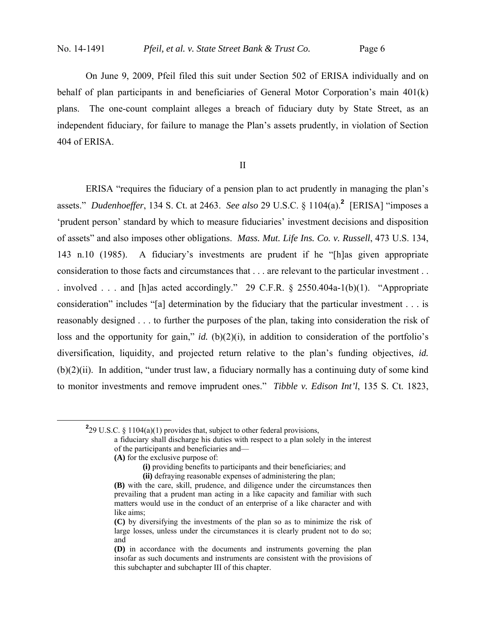$\overline{a}$ 

 On June 9, 2009, Pfeil filed this suit under Section 502 of ERISA individually and on behalf of plan participants in and beneficiaries of General Motor Corporation's main 401(k) plans. The one-count complaint alleges a breach of fiduciary duty by State Street, as an independent fiduciary, for failure to manage the Plan's assets prudently, in violation of Section 404 of ERISA.

II

 ERISA "requires the fiduciary of a pension plan to act prudently in managing the plan's assets." *Dudenhoeffer*, 134 S. Ct. at 2463. *See also* 29 U.S.C. § 1104(a).**<sup>2</sup>** [ERISA] "imposes a 'prudent person' standard by which to measure fiduciaries' investment decisions and disposition of assets" and also imposes other obligations. *Mass. Mut. Life Ins. Co. v. Russell*, 473 U.S. 134, 143 n.10 (1985). A fiduciary's investments are prudent if he "[h]as given appropriate consideration to those facts and circumstances that . . . are relevant to the particular investment . . . involved . . . and [h]as acted accordingly." 29 C.F.R. § 2550.404a-1(b)(1). "Appropriate consideration" includes "[a] determination by the fiduciary that the particular investment . . . is reasonably designed . . . to further the purposes of the plan, taking into consideration the risk of loss and the opportunity for gain," *id.* (b)(2)(i), in addition to consideration of the portfolio's diversification, liquidity, and projected return relative to the plan's funding objectives, *id.*  $(b)(2)(ii)$ . In addition, "under trust law, a fiduciary normally has a continuing duty of some kind to monitor investments and remove imprudent ones." *Tibble v. Edison Int'l*, 135 S. Ct. 1823,

<sup>2</sup>29 U.S.C. § 1104(a)(1) provides that, subject to other federal provisions,

**(A)** for the exclusive purpose of:

a fiduciary shall discharge his duties with respect to a plan solely in the interest of the participants and beneficiaries and—

**<sup>(</sup>i)** providing benefits to participants and their beneficiaries; and **(ii)** defraying reasonable expenses of administering the plan;

**<sup>(</sup>B)** with the care, skill, prudence, and diligence under the circumstances then prevailing that a prudent man acting in a like capacity and familiar with such matters would use in the conduct of an enterprise of a like character and with like aims;

**<sup>(</sup>C)** by diversifying the investments of the plan so as to minimize the risk of large losses, unless under the circumstances it is clearly prudent not to do so; and

**<sup>(</sup>D)** in accordance with the documents and instruments governing the plan insofar as such documents and instruments are consistent with the provisions of this subchapter and subchapter III of this chapter.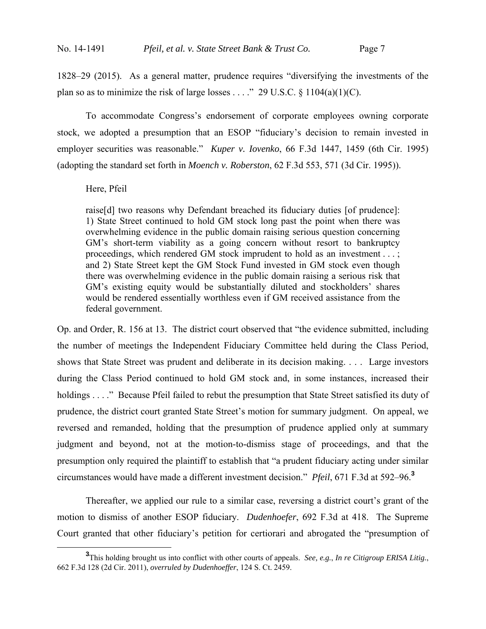1828–29 (2015). As a general matter, prudence requires "diversifying the investments of the plan so as to minimize the risk of large losses . . . ." 29 U.S.C.  $\S$  1104(a)(1)(C).

 To accommodate Congress's endorsement of corporate employees owning corporate stock, we adopted a presumption that an ESOP "fiduciary's decision to remain invested in employer securities was reasonable." *Kuper v. Iovenko*, 66 F.3d 1447, 1459 (6th Cir. 1995) (adopting the standard set forth in *Moench v. Roberston*, 62 F.3d 553, 571 (3d Cir. 1995)).

### Here, Pfeil

raise[d] two reasons why Defendant breached its fiduciary duties [of prudence]: 1) State Street continued to hold GM stock long past the point when there was overwhelming evidence in the public domain raising serious question concerning GM's short-term viability as a going concern without resort to bankruptcy proceedings, which rendered GM stock imprudent to hold as an investment . . . ; and 2) State Street kept the GM Stock Fund invested in GM stock even though there was overwhelming evidence in the public domain raising a serious risk that GM's existing equity would be substantially diluted and stockholders' shares would be rendered essentially worthless even if GM received assistance from the federal government.

Op. and Order, R. 156 at 13. The district court observed that "the evidence submitted, including the number of meetings the Independent Fiduciary Committee held during the Class Period, shows that State Street was prudent and deliberate in its decision making. . . . Large investors during the Class Period continued to hold GM stock and, in some instances, increased their holdings . . . ." Because Pfeil failed to rebut the presumption that State Street satisfied its duty of prudence, the district court granted State Street's motion for summary judgment. On appeal, we reversed and remanded, holding that the presumption of prudence applied only at summary judgment and beyond, not at the motion-to-dismiss stage of proceedings, and that the presumption only required the plaintiff to establish that "a prudent fiduciary acting under similar circumstances would have made a different investment decision." *Pfeil*, 671 F.3d at 592–96.**<sup>3</sup>**

 Thereafter, we applied our rule to a similar case, reversing a district court's grant of the motion to dismiss of another ESOP fiduciary. *Dudenhoefer*, 692 F.3d at 418. The Supreme Court granted that other fiduciary's petition for certiorari and abrogated the "presumption of

**<sup>3</sup>** This holding brought us into conflict with other courts of appeals. *See, e.g.*, *In re Citigroup ERISA Litig.*, 662 F.3d 128 (2d Cir. 2011), *overruled by Dudenhoeffer*, 124 S. Ct. 2459.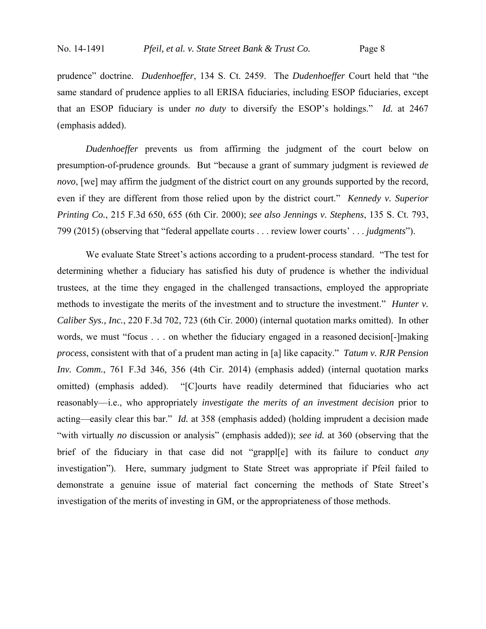prudence" doctrine. *Dudenhoeffer*, 134 S. Ct. 2459. The *Dudenhoeffer* Court held that "the same standard of prudence applies to all ERISA fiduciaries, including ESOP fiduciaries, except that an ESOP fiduciary is under *no duty* to diversify the ESOP's holdings." *Id.* at 2467 (emphasis added).

*Dudenhoeffer* prevents us from affirming the judgment of the court below on presumption-of-prudence grounds. But "because a grant of summary judgment is reviewed *de novo*, [we] may affirm the judgment of the district court on any grounds supported by the record, even if they are different from those relied upon by the district court." *Kennedy v. Superior Printing Co.*, 215 F.3d 650, 655 (6th Cir. 2000); *see also Jennings v. Stephens*, 135 S. Ct. 793, 799 (2015) (observing that "federal appellate courts . . . review lower courts' . . . *judgments*").

 We evaluate State Street's actions according to a prudent-process standard. "The test for determining whether a fiduciary has satisfied his duty of prudence is whether the individual trustees, at the time they engaged in the challenged transactions, employed the appropriate methods to investigate the merits of the investment and to structure the investment." *Hunter v. Caliber Sys., Inc.*, 220 F.3d 702, 723 (6th Cir. 2000) (internal quotation marks omitted). In other words, we must "focus . . . on whether the fiduciary engaged in a reasoned decision[-]making *process*, consistent with that of a prudent man acting in [a] like capacity." *Tatum v. RJR Pension Inv. Comm.*, 761 F.3d 346, 356 (4th Cir. 2014) (emphasis added) (internal quotation marks omitted) (emphasis added). "[C]ourts have readily determined that fiduciaries who act reasonably—i.e., who appropriately *investigate the merits of an investment decision* prior to acting—easily clear this bar." *Id.* at 358 (emphasis added) (holding imprudent a decision made "with virtually *no* discussion or analysis" (emphasis added)); *see id.* at 360 (observing that the brief of the fiduciary in that case did not "grappl[e] with its failure to conduct *any*  investigation"). Here, summary judgment to State Street was appropriate if Pfeil failed to demonstrate a genuine issue of material fact concerning the methods of State Street's investigation of the merits of investing in GM, or the appropriateness of those methods.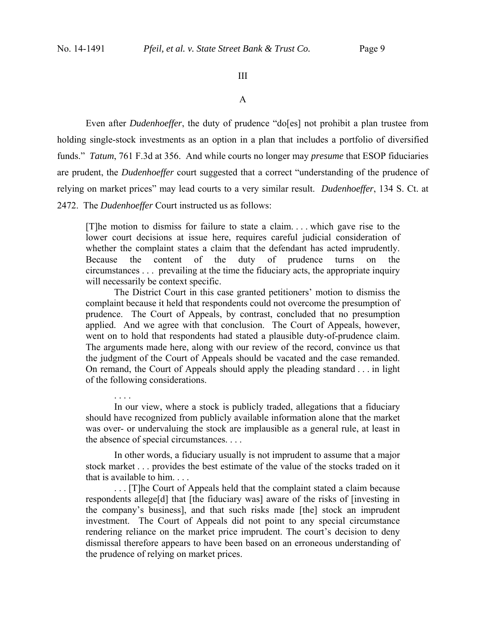. . . .

## III

A

 Even after *Dudenhoeffer*, the duty of prudence "do[es] not prohibit a plan trustee from holding single-stock investments as an option in a plan that includes a portfolio of diversified funds." *Tatum*, 761 F.3d at 356. And while courts no longer may *presume* that ESOP fiduciaries are prudent, the *Dudenhoeffer* court suggested that a correct "understanding of the prudence of relying on market prices" may lead courts to a very similar result. *Dudenhoeffer*, 134 S. Ct. at 2472. The *Dudenhoeffer* Court instructed us as follows:

[T]he motion to dismiss for failure to state a claim. . . . which gave rise to the lower court decisions at issue here, requires careful judicial consideration of whether the complaint states a claim that the defendant has acted imprudently. Because the content of the duty of prudence turns on the circumstances . . . prevailing at the time the fiduciary acts, the appropriate inquiry will necessarily be context specific.

 The District Court in this case granted petitioners' motion to dismiss the complaint because it held that respondents could not overcome the presumption of prudence. The Court of Appeals, by contrast, concluded that no presumption applied. And we agree with that conclusion. The Court of Appeals, however, went on to hold that respondents had stated a plausible duty-of-prudence claim. The arguments made here, along with our review of the record, convince us that the judgment of the Court of Appeals should be vacated and the case remanded. On remand, the Court of Appeals should apply the pleading standard . . . in light of the following considerations.

 In our view, where a stock is publicly traded, allegations that a fiduciary should have recognized from publicly available information alone that the market was over- or undervaluing the stock are implausible as a general rule, at least in the absence of special circumstances. . . .

 In other words, a fiduciary usually is not imprudent to assume that a major stock market . . . provides the best estimate of the value of the stocks traded on it that is available to him. . . .

 . . . [T]he Court of Appeals held that the complaint stated a claim because respondents allege[d] that [the fiduciary was] aware of the risks of [investing in the company's business], and that such risks made [the] stock an imprudent investment. The Court of Appeals did not point to any special circumstance rendering reliance on the market price imprudent. The court's decision to deny dismissal therefore appears to have been based on an erroneous understanding of the prudence of relying on market prices.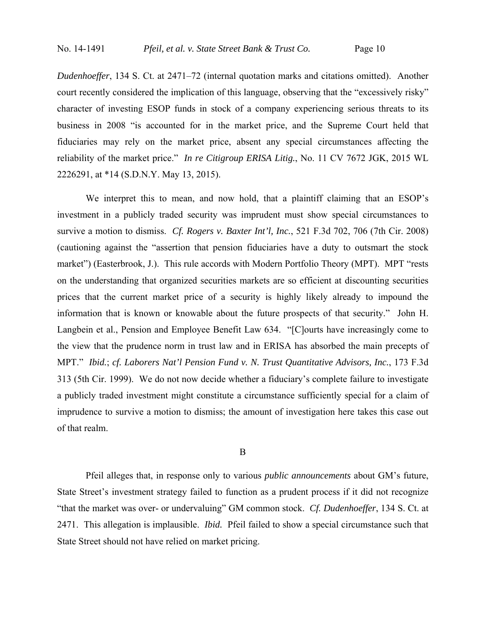*Dudenhoeffer*, 134 S. Ct. at 2471–72 (internal quotation marks and citations omitted). Another court recently considered the implication of this language, observing that the "excessively risky" character of investing ESOP funds in stock of a company experiencing serious threats to its business in 2008 "is accounted for in the market price, and the Supreme Court held that fiduciaries may rely on the market price, absent any special circumstances affecting the reliability of the market price." *In re Citigroup ERISA Litig.*, No. 11 CV 7672 JGK, 2015 WL 2226291, at \*14 (S.D.N.Y. May 13, 2015).

We interpret this to mean, and now hold, that a plaintiff claiming that an ESOP's investment in a publicly traded security was imprudent must show special circumstances to survive a motion to dismiss. *Cf. Rogers v. Baxter Int'l, Inc.*, 521 F.3d 702, 706 (7th Cir. 2008) (cautioning against the "assertion that pension fiduciaries have a duty to outsmart the stock market") (Easterbrook, J.). This rule accords with Modern Portfolio Theory (MPT). MPT "rests on the understanding that organized securities markets are so efficient at discounting securities prices that the current market price of a security is highly likely already to impound the information that is known or knowable about the future prospects of that security." John H. Langbein et al., Pension and Employee Benefit Law 634. "[C]ourts have increasingly come to the view that the prudence norm in trust law and in ERISA has absorbed the main precepts of MPT." *Ibid.*; *cf. Laborers Nat'l Pension Fund v. N. Trust Quantitative Advisors, Inc.*, 173 F.3d 313 (5th Cir. 1999). We do not now decide whether a fiduciary's complete failure to investigate a publicly traded investment might constitute a circumstance sufficiently special for a claim of imprudence to survive a motion to dismiss; the amount of investigation here takes this case out of that realm.

B

 Pfeil alleges that, in response only to various *public announcements* about GM's future, State Street's investment strategy failed to function as a prudent process if it did not recognize "that the market was over- or undervaluing" GM common stock. *Cf. Dudenhoeffer*, 134 S. Ct. at 2471. This allegation is implausible. *Ibid.* Pfeil failed to show a special circumstance such that State Street should not have relied on market pricing.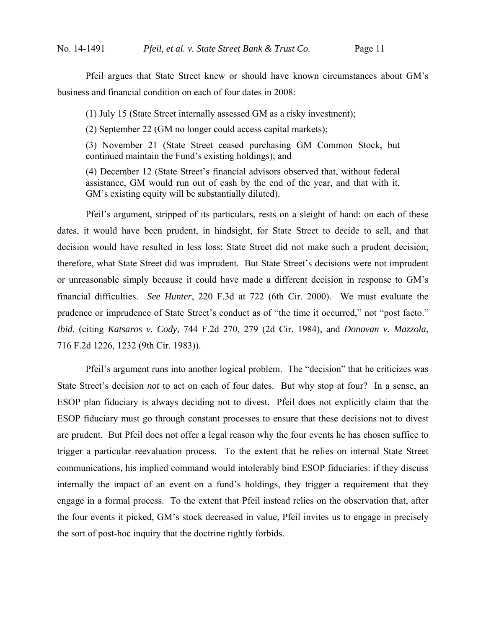Pfeil argues that State Street knew or should have known circumstances about GM's business and financial condition on each of four dates in 2008:

(1) July 15 (State Street internally assessed GM as a risky investment);

(2) September 22 (GM no longer could access capital markets);

(3) November 21 (State Street ceased purchasing GM Common Stock, but continued maintain the Fund's existing holdings); and

(4) December 12 (State Street's financial advisors observed that, without federal assistance, GM would run out of cash by the end of the year, and that with it, GM's existing equity will be substantially diluted).

 Pfeil's argument, stripped of its particulars, rests on a sleight of hand: on each of these dates, it would have been prudent, in hindsight, for State Street to decide to sell, and that decision would have resulted in less loss; State Street did not make such a prudent decision; therefore, what State Street did was imprudent. But State Street's decisions were not imprudent or unreasonable simply because it could have made a different decision in response to GM's financial difficulties. *See Hunter*, 220 F.3d at 722 (6th Cir. 2000). We must evaluate the prudence or imprudence of State Street's conduct as of "the time it occurred," not "post facto." *Ibid.* (citing *Katsaros v. Cody*, 744 F.2d 270, 279 (2d Cir. 1984), and *Donovan v. Mazzola*, 716 F.2d 1226, 1232 (9th Cir. 1983)).

 Pfeil's argument runs into another logical problem. The "decision" that he criticizes was State Street's decision *not* to act on each of four dates. But why stop at four? In a sense, an ESOP plan fiduciary is always deciding not to divest. Pfeil does not explicitly claim that the ESOP fiduciary must go through constant processes to ensure that these decisions not to divest are prudent. But Pfeil does not offer a legal reason why the four events he has chosen suffice to trigger a particular reevaluation process. To the extent that he relies on internal State Street communications, his implied command would intolerably bind ESOP fiduciaries: if they discuss internally the impact of an event on a fund's holdings, they trigger a requirement that they engage in a formal process. To the extent that Pfeil instead relies on the observation that, after the four events it picked, GM's stock decreased in value, Pfeil invites us to engage in precisely the sort of post-hoc inquiry that the doctrine rightly forbids.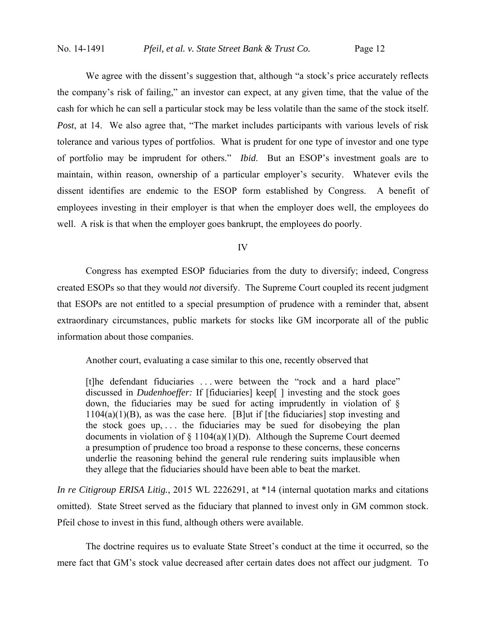We agree with the dissent's suggestion that, although "a stock's price accurately reflects the company's risk of failing," an investor can expect, at any given time, that the value of the cash for which he can sell a particular stock may be less volatile than the same of the stock itself. *Post*, at 14. We also agree that, "The market includes participants with various levels of risk tolerance and various types of portfolios. What is prudent for one type of investor and one type of portfolio may be imprudent for others." *Ibid*. But an ESOP's investment goals are to maintain, within reason, ownership of a particular employer's security. Whatever evils the dissent identifies are endemic to the ESOP form established by Congress. A benefit of employees investing in their employer is that when the employer does well, the employees do well. A risk is that when the employer goes bankrupt, the employees do poorly.

IV

 Congress has exempted ESOP fiduciaries from the duty to diversify; indeed, Congress created ESOPs so that they would *not* diversify. The Supreme Court coupled its recent judgment that ESOPs are not entitled to a special presumption of prudence with a reminder that, absent extraordinary circumstances, public markets for stocks like GM incorporate all of the public information about those companies.

Another court, evaluating a case similar to this one, recently observed that

[t]he defendant fiduciaries . . . were between the "rock and a hard place" discussed in *Dudenhoeffer:* If [fiduciaries] keep[ ] investing and the stock goes down, the fiduciaries may be sued for acting imprudently in violation of §  $1104(a)(1)(B)$ , as was the case here. [B]ut if [the fiduciaries] stop investing and the stock goes up,  $\ldots$  the fiduciaries may be sued for disobeying the plan documents in violation of  $\S$  1104(a)(1)(D). Although the Supreme Court deemed a presumption of prudence too broad a response to these concerns, these concerns underlie the reasoning behind the general rule rendering suits implausible when they allege that the fiduciaries should have been able to beat the market.

*In re Citigroup ERISA Litig.*, 2015 WL 2226291, at \*14 (internal quotation marks and citations omitted). State Street served as the fiduciary that planned to invest only in GM common stock. Pfeil chose to invest in this fund, although others were available.

 The doctrine requires us to evaluate State Street's conduct at the time it occurred, so the mere fact that GM's stock value decreased after certain dates does not affect our judgment. To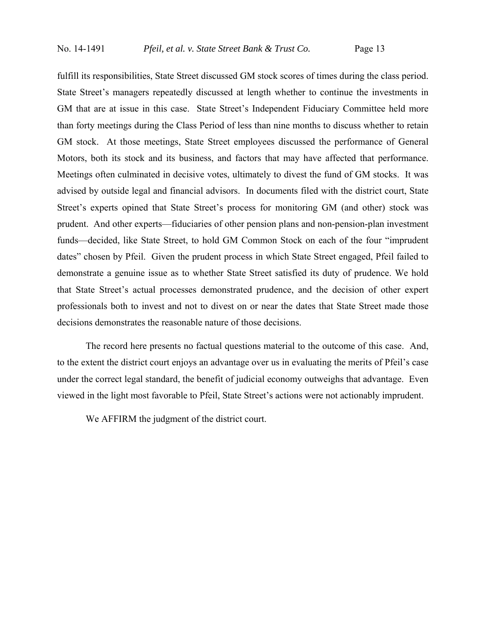fulfill its responsibilities, State Street discussed GM stock scores of times during the class period. State Street's managers repeatedly discussed at length whether to continue the investments in GM that are at issue in this case. State Street's Independent Fiduciary Committee held more than forty meetings during the Class Period of less than nine months to discuss whether to retain GM stock. At those meetings, State Street employees discussed the performance of General Motors, both its stock and its business, and factors that may have affected that performance. Meetings often culminated in decisive votes, ultimately to divest the fund of GM stocks. It was advised by outside legal and financial advisors. In documents filed with the district court, State Street's experts opined that State Street's process for monitoring GM (and other) stock was prudent. And other experts—fiduciaries of other pension plans and non-pension-plan investment funds—decided, like State Street, to hold GM Common Stock on each of the four "imprudent dates" chosen by Pfeil. Given the prudent process in which State Street engaged, Pfeil failed to demonstrate a genuine issue as to whether State Street satisfied its duty of prudence. We hold that State Street's actual processes demonstrated prudence, and the decision of other expert professionals both to invest and not to divest on or near the dates that State Street made those decisions demonstrates the reasonable nature of those decisions.

 The record here presents no factual questions material to the outcome of this case. And, to the extent the district court enjoys an advantage over us in evaluating the merits of Pfeil's case under the correct legal standard, the benefit of judicial economy outweighs that advantage. Even viewed in the light most favorable to Pfeil, State Street's actions were not actionably imprudent.

We AFFIRM the judgment of the district court.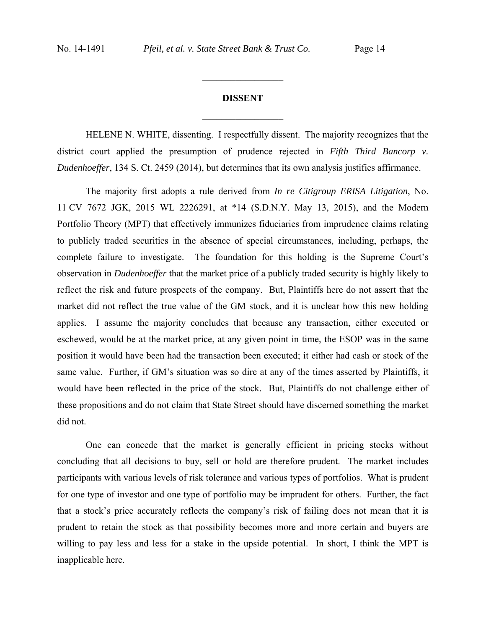# **DISSENT**  $\frac{1}{2}$

 $\frac{1}{2}$  ,  $\frac{1}{2}$  ,  $\frac{1}{2}$  ,  $\frac{1}{2}$  ,  $\frac{1}{2}$  ,  $\frac{1}{2}$  ,  $\frac{1}{2}$  ,  $\frac{1}{2}$  ,  $\frac{1}{2}$ 

HELENE N. WHITE, dissenting. I respectfully dissent.The majority recognizes that the district court applied the presumption of prudence rejected in *Fifth Third Bancorp v. Dudenhoeffer*, 134 S. Ct. 2459 (2014), but determines that its own analysis justifies affirmance.

The majority first adopts a rule derived from *In re Citigroup ERISA Litigation*, No. 11 CV 7672 JGK, 2015 WL 2226291, at \*14 (S.D.N.Y. May 13, 2015), and the Modern Portfolio Theory (MPT) that effectively immunizes fiduciaries from imprudence claims relating to publicly traded securities in the absence of special circumstances, including, perhaps, the complete failure to investigate. The foundation for this holding is the Supreme Court's observation in *Dudenhoeffer* that the market price of a publicly traded security is highly likely to reflect the risk and future prospects of the company. But, Plaintiffs here do not assert that the market did not reflect the true value of the GM stock, and it is unclear how this new holding applies. I assume the majority concludes that because any transaction, either executed or eschewed, would be at the market price, at any given point in time, the ESOP was in the same position it would have been had the transaction been executed; it either had cash or stock of the same value. Further, if GM's situation was so dire at any of the times asserted by Plaintiffs, it would have been reflected in the price of the stock. But, Plaintiffs do not challenge either of these propositions and do not claim that State Street should have discerned something the market did not.

One can concede that the market is generally efficient in pricing stocks without concluding that all decisions to buy, sell or hold are therefore prudent. The market includes participants with various levels of risk tolerance and various types of portfolios. What is prudent for one type of investor and one type of portfolio may be imprudent for others. Further, the fact that a stock's price accurately reflects the company's risk of failing does not mean that it is prudent to retain the stock as that possibility becomes more and more certain and buyers are willing to pay less and less for a stake in the upside potential. In short, I think the MPT is inapplicable here.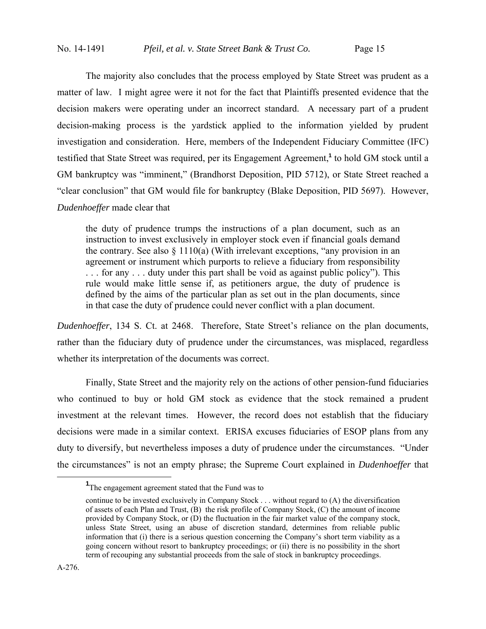The majority also concludes that the process employed by State Street was prudent as a matter of law. I might agree were it not for the fact that Plaintiffs presented evidence that the decision makers were operating under an incorrect standard. A necessary part of a prudent decision-making process is the yardstick applied to the information yielded by prudent investigation and consideration. Here, members of the Independent Fiduciary Committee (IFC) testified that State Street was required, per its Engagement Agreement,**<sup>1</sup>** to hold GM stock until a GM bankruptcy was "imminent," (Brandhorst Deposition, PID 5712), or State Street reached a "clear conclusion" that GM would file for bankruptcy (Blake Deposition, PID 5697). However, *Dudenhoeffer* made clear that

the duty of prudence trumps the instructions of a plan document, such as an instruction to invest exclusively in employer stock even if financial goals demand the contrary. See also  $\S$  1110(a) (With irrelevant exceptions, "any provision in an agreement or instrument which purports to relieve a fiduciary from responsibility . . . for any . . . duty under this part shall be void as against public policy"). This rule would make little sense if, as petitioners argue, the duty of prudence is defined by the aims of the particular plan as set out in the plan documents, since in that case the duty of prudence could never conflict with a plan document.

*Dudenhoeffer*, 134 S. Ct. at 2468. Therefore, State Street's reliance on the plan documents, rather than the fiduciary duty of prudence under the circumstances, was misplaced, regardless whether its interpretation of the documents was correct.

 Finally, State Street and the majority rely on the actions of other pension-fund fiduciaries who continued to buy or hold GM stock as evidence that the stock remained a prudent investment at the relevant times. However, the record does not establish that the fiduciary decisions were made in a similar context. ERISA excuses fiduciaries of ESOP plans from any duty to diversify, but nevertheless imposes a duty of prudence under the circumstances. "Under the circumstances" is not an empty phrase; the Supreme Court explained in *Dudenhoeffer* that

<sup>&</sup>lt;u>1</u> <sup>1</sup>The engagement agreement stated that the Fund was to

continue to be invested exclusively in Company Stock . . . without regard to (A) the diversification of assets of each Plan and Trust, (B) the risk profile of Company Stock, (C) the amount of income provided by Company Stock, or (D) the fluctuation in the fair market value of the company stock, unless State Street, using an abuse of discretion standard, determines from reliable public information that (i) there is a serious question concerning the Company's short term viability as a going concern without resort to bankruptcy proceedings; or (ii) there is no possibility in the short term of recouping any substantial proceeds from the sale of stock in bankruptcy proceedings.